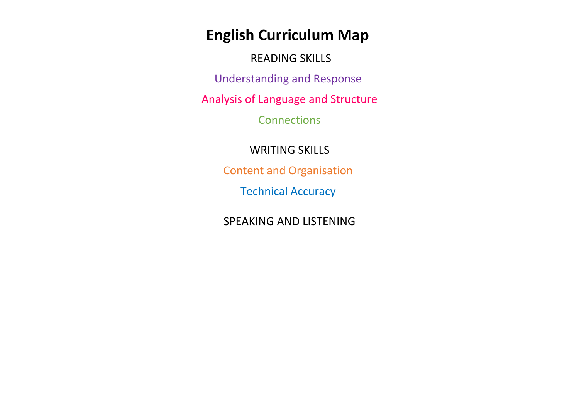# **English Curriculum Map**

READING SKILLS

Understanding and Response

Analysis of Language and Structure

**Connections** 

# WRITING SKILLS

Content and Organisation

Technical Accuracy

SPEAKING AND LISTENING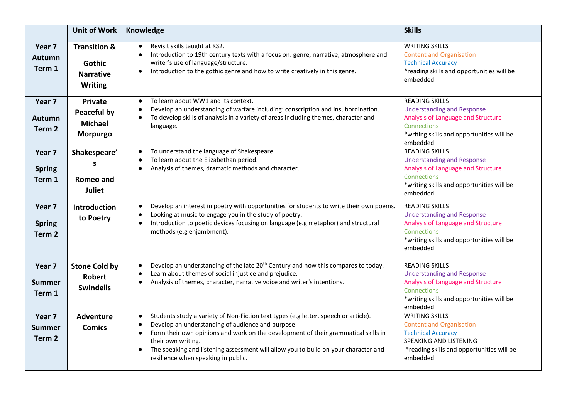|                                              | <b>Unit of Work</b>                                                     | Knowledge                                                                                                                                                                                                                                                                                                                                                                                                                 | <b>Skills</b>                                                                                                                                                            |
|----------------------------------------------|-------------------------------------------------------------------------|---------------------------------------------------------------------------------------------------------------------------------------------------------------------------------------------------------------------------------------------------------------------------------------------------------------------------------------------------------------------------------------------------------------------------|--------------------------------------------------------------------------------------------------------------------------------------------------------------------------|
| Year 7<br><b>Autumn</b><br>Term 1            | <b>Transition &amp;</b><br>Gothic<br><b>Narrative</b><br><b>Writing</b> | Revisit skills taught at KS2.<br>Introduction to 19th century texts with a focus on: genre, narrative, atmosphere and<br>$\bullet$<br>writer's use of language/structure.<br>Introduction to the gothic genre and how to write creatively in this genre.<br>$\bullet$                                                                                                                                                     | <b>WRITING SKILLS</b><br><b>Content and Organisation</b><br><b>Technical Accuracy</b><br>*reading skills and opportunities will be<br>embedded                           |
| Year 7<br>Autumn<br>Term 2                   | <b>Private</b><br>Peaceful by<br><b>Michael</b><br><b>Morpurgo</b>      | To learn about WW1 and its context.<br>$\bullet$<br>Develop an understanding of warfare including: conscription and insubordination.<br>$\bullet$<br>To develop skills of analysis in a variety of areas including themes, character and<br>language.                                                                                                                                                                     | <b>READING SKILLS</b><br><b>Understanding and Response</b><br>Analysis of Language and Structure<br>Connections<br>*writing skills and opportunities will be<br>embedded |
| Year 7<br><b>Spring</b><br>Term 1            | Shakespeare'<br>S<br><b>Romeo and</b><br><b>Juliet</b>                  | To understand the language of Shakespeare.<br>$\bullet$<br>To learn about the Elizabethan period.<br>$\bullet$<br>Analysis of themes, dramatic methods and character.                                                                                                                                                                                                                                                     | <b>READING SKILLS</b><br><b>Understanding and Response</b><br>Analysis of Language and Structure<br>Connections<br>*writing skills and opportunities will be<br>embedded |
| Year 7<br><b>Spring</b><br>Term <sub>2</sub> | <b>Introduction</b><br>to Poetry                                        | Develop an interest in poetry with opportunities for students to write their own poems.<br>$\bullet$<br>Looking at music to engage you in the study of poetry.<br>$\bullet$<br>Introduction to poetic devices focusing on language (e.g metaphor) and structural<br>$\bullet$<br>methods (e.g enjambment).                                                                                                                | <b>READING SKILLS</b><br><b>Understanding and Response</b><br>Analysis of Language and Structure<br>Connections<br>*writing skills and opportunities will be<br>embedded |
| Year 7<br><b>Summer</b><br>Term 1            | <b>Stone Cold by</b><br><b>Robert</b><br><b>Swindells</b>               | Develop an understanding of the late 20 <sup>th</sup> Century and how this compares to today.<br>$\bullet$<br>Learn about themes of social injustice and prejudice.<br>Analysis of themes, character, narrative voice and writer's intentions.<br>$\bullet$                                                                                                                                                               | <b>READING SKILLS</b><br><b>Understanding and Response</b><br>Analysis of Language and Structure<br>Connections<br>*writing skills and opportunities will be<br>embedded |
| Year 7<br><b>Summer</b><br>Term <sub>2</sub> | <b>Adventure</b><br><b>Comics</b>                                       | Students study a variety of Non-Fiction text types (e.g letter, speech or article).<br>$\bullet$<br>Develop an understanding of audience and purpose.<br>Form their own opinions and work on the development of their grammatical skills in<br>$\bullet$<br>their own writing.<br>The speaking and listening assessment will allow you to build on your character and<br>$\bullet$<br>resilience when speaking in public. | <b>WRITING SKILLS</b><br><b>Content and Organisation</b><br><b>Technical Accuracy</b><br>SPEAKING AND LISTENING<br>*reading skills and opportunities will be<br>embedded |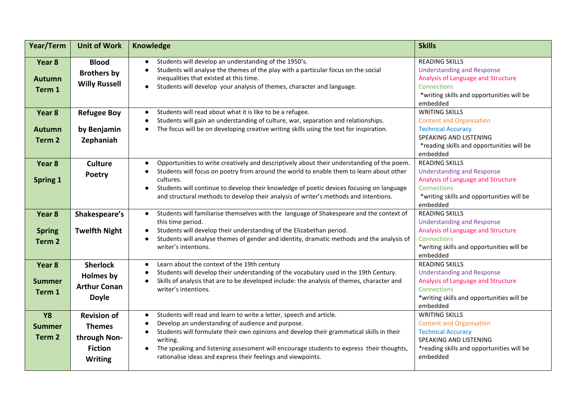| Year/Term                                       | <b>Unit of Work</b>                                                                     | <b>Knowledge</b>                                                                                                                                                                                                                                                                                                                                                                                                       | <b>Skills</b>                                                                                                                                                            |
|-------------------------------------------------|-----------------------------------------------------------------------------------------|------------------------------------------------------------------------------------------------------------------------------------------------------------------------------------------------------------------------------------------------------------------------------------------------------------------------------------------------------------------------------------------------------------------------|--------------------------------------------------------------------------------------------------------------------------------------------------------------------------|
| Year 8<br><b>Autumn</b><br>Term 1               | <b>Blood</b><br><b>Brothers by</b><br><b>Willy Russell</b>                              | Students will develop an understanding of the 1950's.<br>Students will analyse the themes of the play with a particular focus on the social<br>inequalities that existed at this time.<br>Students will develop your analysis of themes, character and language.                                                                                                                                                       | <b>READING SKILLS</b><br><b>Understanding and Response</b><br>Analysis of Language and Structure<br>Connections<br>*writing skills and opportunities will be<br>embedded |
| Year 8<br><b>Autumn</b><br>Term <sub>2</sub>    | <b>Refugee Boy</b><br>by Benjamin<br>Zephaniah                                          | Students will read about what it is like to be a refugee.<br>$\bullet$<br>Students will gain an understanding of culture, war, separation and relationships.<br>$\bullet$<br>The focus will be on developing creative writing skills using the text for inspiration.                                                                                                                                                   | <b>WRITING SKILLS</b><br><b>Content and Organisation</b><br><b>Technical Accuracy</b><br>SPEAKING AND LISTENING<br>*reading skills and opportunities will be<br>embedded |
| Year 8<br><b>Spring 1</b>                       | <b>Culture</b><br>Poetry                                                                | Opportunities to write creatively and descriptively about their understanding of the poem.<br>$\bullet$<br>Students will focus on poetry from around the world to enable them to learn about other<br>cultures.<br>Students will continue to develop their knowledge of poetic devices focusing on language<br>and structural methods to develop their analysis of writer's methods and intentions.                    | <b>READING SKILLS</b><br><b>Understanding and Response</b><br>Analysis of Language and Structure<br>Connections<br>*writing skills and opportunities will be<br>embedded |
| Year 8<br><b>Spring</b><br>Term 2               | Shakespeare's<br><b>Twelfth Night</b>                                                   | Students will familiarise themselves with the language of Shakespeare and the context of<br>$\bullet$<br>this time period.<br>Students will develop their understanding of the Elizabethan period.<br>Students will analyse themes of gender and identity, dramatic methods and the analysis of<br>writer's intentions.                                                                                                | <b>READING SKILLS</b><br><b>Understanding and Response</b><br>Analysis of Language and Structure<br>Connections<br>*writing skills and opportunities will be<br>embedded |
| Year 8<br><b>Summer</b><br>Term 1               | <b>Sherlock</b><br><b>Holmes by</b><br><b>Arthur Conan</b><br><b>Doyle</b>              | Learn about the context of the 19th century<br>Students will develop their understanding of the vocabulary used in the 19th Century.<br>Skills of analysis that are to be developed include: the analysis of themes, character and<br>writer's intentions.                                                                                                                                                             | <b>READING SKILLS</b><br><b>Understanding and Response</b><br>Analysis of Language and Structure<br>Connections<br>*writing skills and opportunities will be<br>embedded |
| <b>Y8</b><br><b>Summer</b><br>Term <sub>2</sub> | <b>Revision of</b><br><b>Themes</b><br>through Non-<br><b>Fiction</b><br><b>Writing</b> | Students will read and learn to write a letter, speech and article.<br>$\bullet$<br>Develop an understanding of audience and purpose.<br>$\bullet$<br>Students will formulate their own opinions and develop their grammatical skills in their<br>writing.<br>The speaking and listening assessment will encourage students to express their thoughts,<br>rationalise ideas and express their feelings and viewpoints. | <b>WRITING SKILLS</b><br><b>Content and Organisation</b><br><b>Technical Accuracy</b><br>SPEAKING AND LISTENING<br>*reading skills and opportunities will be<br>embedded |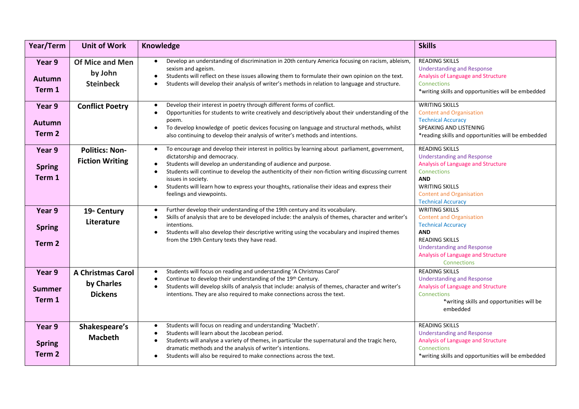| Year/Term                                    | <b>Unit of Work</b>                                      | Knowledge                                                                                                                                                                                                                                                                                                                                                                                                                                                                                                  | <b>Skills</b>                                                                                                                                                                                                                 |
|----------------------------------------------|----------------------------------------------------------|------------------------------------------------------------------------------------------------------------------------------------------------------------------------------------------------------------------------------------------------------------------------------------------------------------------------------------------------------------------------------------------------------------------------------------------------------------------------------------------------------------|-------------------------------------------------------------------------------------------------------------------------------------------------------------------------------------------------------------------------------|
| Year 9<br><b>Autumn</b><br>Term 1            | Of Mice and Men<br>by John<br><b>Steinbeck</b>           | Develop an understanding of discrimination in 20th century America focusing on racism, ableism,<br>$\bullet$<br>sexism and ageism.<br>Students will reflect on these issues allowing them to formulate their own opinion on the text.<br>$\bullet$<br>Students will develop their analysis of writer's methods in relation to language and structure.<br>$\bullet$                                                                                                                                         | <b>READING SKILLS</b><br><b>Understanding and Response</b><br>Analysis of Language and Structure<br>Connections<br>*writing skills and opportunities will be embedded                                                         |
| Year 9<br><b>Autumn</b><br>Term 2            | <b>Conflict Poetry</b>                                   | Develop their interest in poetry through different forms of conflict.<br>$\bullet$<br>Opportunities for students to write creatively and descriptively about their understanding of the<br>$\bullet$<br>poem.<br>To develop knowledge of poetic devices focusing on language and structural methods, whilst<br>$\bullet$<br>also continuing to develop their analysis of writer's methods and intentions.                                                                                                  | <b>WRITING SKILLS</b><br><b>Content and Organisation</b><br><b>Technical Accuracy</b><br>SPEAKING AND LISTENING<br>*reading skills and opportunities will be embedded                                                         |
| Year 9<br><b>Spring</b><br>Term 1            | <b>Politics: Non-</b><br><b>Fiction Writing</b>          | To encourage and develop their interest in politics by learning about parliament, government,<br>$\bullet$<br>dictatorship and democracy.<br>Students will develop an understanding of audience and purpose.<br>$\bullet$<br>Students will continue to develop the authenticity of their non-fiction writing discussing current<br>$\bullet$<br>issues in society.<br>Students will learn how to express your thoughts, rationalise their ideas and express their<br>$\bullet$<br>feelings and viewpoints. | <b>READING SKILLS</b><br><b>Understanding and Response</b><br>Analysis of Language and Structure<br>Connections<br><b>AND</b><br><b>WRITING SKILLS</b><br><b>Content and Organisation</b><br><b>Technical Accuracy</b>        |
| Year 9<br><b>Spring</b><br>Term <sub>2</sub> | 19th Century<br>Literature                               | Further develop their understanding of the 19th century and its vocabulary.<br>$\bullet$<br>Skills of analysis that are to be developed include: the analysis of themes, character and writer's<br>intentions.<br>Students will also develop their descriptive writing using the vocabulary and inspired themes<br>$\bullet$<br>from the 19th Century texts they have read.                                                                                                                                | <b>WRITING SKILLS</b><br><b>Content and Organisation</b><br><b>Technical Accuracy</b><br><b>AND</b><br><b>READING SKILLS</b><br><b>Understanding and Response</b><br>Analysis of Language and Structure<br><b>Connections</b> |
| Year 9<br><b>Summer</b><br>Term 1            | <b>A Christmas Carol</b><br>by Charles<br><b>Dickens</b> | Students will focus on reading and understanding 'A Christmas Carol'<br>$\bullet$<br>Continue to develop their understanding of the 19th Century.<br>$\bullet$<br>Students will develop skills of analysis that include: analysis of themes, character and writer's<br>$\bullet$<br>intentions. They are also required to make connections across the text.                                                                                                                                                | <b>READING SKILLS</b><br><b>Understanding and Response</b><br>Analysis of Language and Structure<br>Connections<br>*writing skills and opportunities will be<br>embedded                                                      |
| Year 9<br><b>Spring</b><br>Term <sub>2</sub> | Shakespeare's<br><b>Macbeth</b>                          | Students will focus on reading and understanding 'Macbeth'.<br>$\bullet$<br>Students will learn about the Jacobean period.<br>$\bullet$<br>Students will analyse a variety of themes, in particular the supernatural and the tragic hero,<br>$\bullet$<br>dramatic methods and the analysis of writer's intentions.<br>Students will also be required to make connections across the text.<br>$\bullet$                                                                                                    | <b>READING SKILLS</b><br><b>Understanding and Response</b><br>Analysis of Language and Structure<br>Connections<br>*writing skills and opportunities will be embedded                                                         |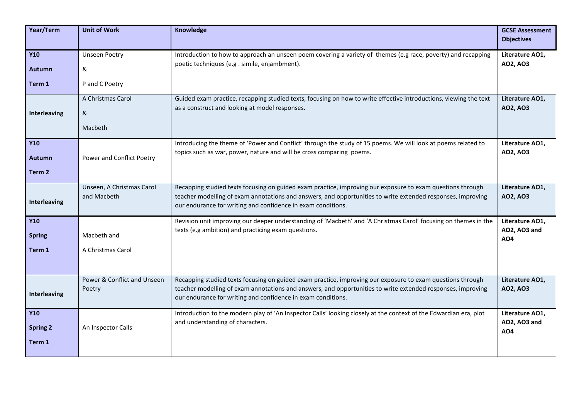| Year/Term                               | <b>Unit of Work</b>                         | Knowledge                                                                                                                                                                                                                                                                                 | <b>GCSE Assessment</b><br><b>Objectives</b>   |
|-----------------------------------------|---------------------------------------------|-------------------------------------------------------------------------------------------------------------------------------------------------------------------------------------------------------------------------------------------------------------------------------------------|-----------------------------------------------|
| <b>Y10</b><br><b>Autumn</b><br>Term 1   | <b>Unseen Poetry</b><br>&<br>P and C Poetry | Introduction to how to approach an unseen poem covering a variety of themes (e.g race, poverty) and recapping<br>poetic techniques (e.g. simile, enjambment).                                                                                                                             | Literature AO1,<br>AO2, AO3                   |
| Interleaving                            | A Christmas Carol<br>&<br>Macbeth           | Guided exam practice, recapping studied texts, focusing on how to write effective introductions, viewing the text<br>as a construct and looking at model responses.                                                                                                                       | Literature AO1,<br>AO2, AO3                   |
| <b>Y10</b><br><b>Autumn</b><br>Term 2   | Power and Conflict Poetry                   | Introducing the theme of 'Power and Conflict' through the study of 15 poems. We will look at poems related to<br>topics such as war, power, nature and will be cross comparing poems.                                                                                                     | Literature AO1,<br>AO2, AO3                   |
| Interleaving                            | Unseen, A Christmas Carol<br>and Macbeth    | Recapping studied texts focusing on guided exam practice, improving our exposure to exam questions through<br>teacher modelling of exam annotations and answers, and opportunities to write extended responses, improving<br>our endurance for writing and confidence in exam conditions. | Literature AO1,<br>AO2, AO3                   |
| <b>Y10</b><br><b>Spring</b><br>Term 1   | Macbeth and<br>A Christmas Carol            | Revision unit improving our deeper understanding of 'Macbeth' and 'A Christmas Carol' focusing on themes in the<br>texts (e.g ambition) and practicing exam questions.                                                                                                                    | Literature AO1,<br>AO2, AO3 and<br>AO4        |
| Interleaving                            | Power & Conflict and Unseen<br>Poetry       | Recapping studied texts focusing on guided exam practice, improving our exposure to exam questions through<br>teacher modelling of exam annotations and answers, and opportunities to write extended responses, improving<br>our endurance for writing and confidence in exam conditions. | Literature AO1,<br>AO2, AO3                   |
| <b>Y10</b><br><b>Spring 2</b><br>Term 1 | An Inspector Calls                          | Introduction to the modern play of 'An Inspector Calls' looking closely at the context of the Edwardian era, plot<br>and understanding of characters.                                                                                                                                     | Literature AO1,<br>AO2, AO3 and<br><b>AO4</b> |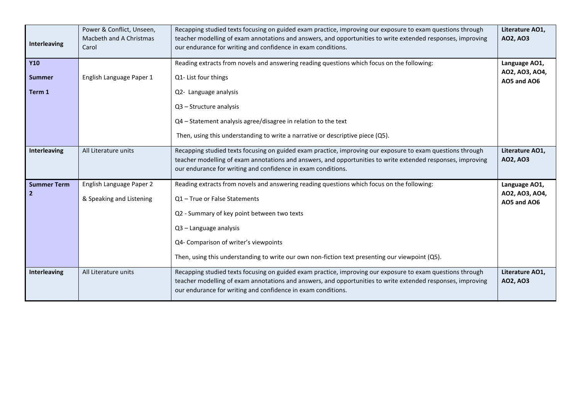| Interleaving                         | Power & Conflict, Unseen,<br>Macbeth and A Christmas<br>Carol | Recapping studied texts focusing on guided exam practice, improving our exposure to exam questions through<br>teacher modelling of exam annotations and answers, and opportunities to write extended responses, improving<br>our endurance for writing and confidence in exam conditions.                                                        | Literature AO1,<br>AO2, AO3                    |
|--------------------------------------|---------------------------------------------------------------|--------------------------------------------------------------------------------------------------------------------------------------------------------------------------------------------------------------------------------------------------------------------------------------------------------------------------------------------------|------------------------------------------------|
| <b>Y10</b><br>Summer<br>Term 1       | English Language Paper 1                                      | Reading extracts from novels and answering reading questions which focus on the following:<br>Q1- List four things<br>Q2- Language analysis<br>Q3 - Structure analysis<br>Q4 - Statement analysis agree/disagree in relation to the text                                                                                                         | Language AO1,<br>AO2, AO3, AO4,<br>AO5 and AO6 |
|                                      |                                                               | Then, using this understanding to write a narrative or descriptive piece (Q5).                                                                                                                                                                                                                                                                   |                                                |
| Interleaving                         | All Literature units                                          | Recapping studied texts focusing on guided exam practice, improving our exposure to exam questions through<br>teacher modelling of exam annotations and answers, and opportunities to write extended responses, improving<br>our endurance for writing and confidence in exam conditions.                                                        | Literature AO1,<br>AO2, AO3                    |
| <b>Summer Term</b><br>$\overline{2}$ | English Language Paper 2<br>& Speaking and Listening          | Reading extracts from novels and answering reading questions which focus on the following:<br>Q1 - True or False Statements<br>Q2 - Summary of key point between two texts<br>Q3 - Language analysis<br>Q4- Comparison of writer's viewpoints<br>Then, using this understanding to write our own non-fiction text presenting our viewpoint (Q5). | Language AO1,<br>AO2, AO3, AO4,<br>AO5 and AO6 |
| <b>Interleaving</b>                  | All Literature units                                          | Recapping studied texts focusing on guided exam practice, improving our exposure to exam questions through<br>teacher modelling of exam annotations and answers, and opportunities to write extended responses, improving<br>our endurance for writing and confidence in exam conditions.                                                        | Literature AO1,<br>AO2, AO3                    |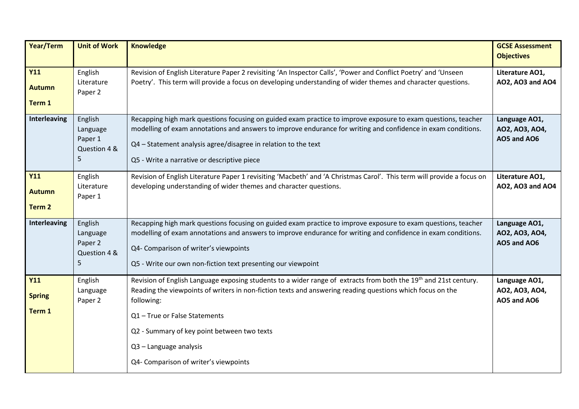| Year/Term                             | <b>Unit of Work</b>                                 | <b>Knowledge</b>                                                                                                                                                                                                                                                                                                                                                                                           | <b>GCSE Assessment</b><br><b>Objectives</b>    |
|---------------------------------------|-----------------------------------------------------|------------------------------------------------------------------------------------------------------------------------------------------------------------------------------------------------------------------------------------------------------------------------------------------------------------------------------------------------------------------------------------------------------------|------------------------------------------------|
| <b>Y11</b><br><b>Autumn</b><br>Term 1 | English<br>Literature<br>Paper 2                    | Revision of English Literature Paper 2 revisiting 'An Inspector Calls', 'Power and Conflict Poetry' and 'Unseen<br>Poetry'. This term will provide a focus on developing understanding of wider themes and character questions.                                                                                                                                                                            | Literature AO1,<br>AO2, AO3 and AO4            |
| Interleaving                          | English<br>Language<br>Paper 1<br>Question 4 &<br>5 | Recapping high mark questions focusing on guided exam practice to improve exposure to exam questions, teacher<br>modelling of exam annotations and answers to improve endurance for writing and confidence in exam conditions.<br>Q4 - Statement analysis agree/disagree in relation to the text<br>Q5 - Write a narrative or descriptive piece                                                            | Language AO1,<br>AO2, AO3, AO4,<br>AO5 and AO6 |
| <b>Y11</b><br><b>Autumn</b><br>Term 2 | English<br>Literature<br>Paper 1                    | Revision of English Literature Paper 1 revisiting 'Macbeth' and 'A Christmas Carol'. This term will provide a focus on<br>developing understanding of wider themes and character questions.                                                                                                                                                                                                                | Literature AO1,<br>AO2, AO3 and AO4            |
| <b>Interleaving</b>                   | English<br>Language<br>Paper 2<br>Question 4 &<br>5 | Recapping high mark questions focusing on guided exam practice to improve exposure to exam questions, teacher<br>modelling of exam annotations and answers to improve endurance for writing and confidence in exam conditions.<br>Q4- Comparison of writer's viewpoints<br>Q5 - Write our own non-fiction text presenting our viewpoint                                                                    | Language AO1,<br>AO2, AO3, AO4,<br>AO5 and AO6 |
| <b>Y11</b><br><b>Spring</b><br>Term 1 | English<br>Language<br>Paper 2                      | Revision of English Language exposing students to a wider range of extracts from both the 19 <sup>th</sup> and 21st century.<br>Reading the viewpoints of writers in non-fiction texts and answering reading questions which focus on the<br>following:<br>Q1 - True or False Statements<br>Q2 - Summary of key point between two texts<br>Q3 - Language analysis<br>Q4- Comparison of writer's viewpoints | Language AO1,<br>AO2, AO3, AO4,<br>AO5 and AO6 |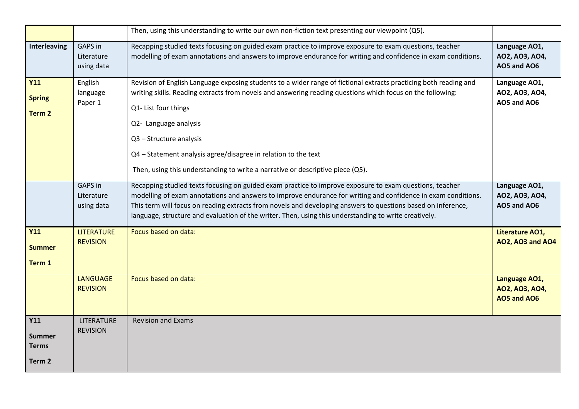|                                                |                                                         | Then, using this understanding to write our own non-fiction text presenting our viewpoint (Q5).                                                                                                                                                                                                                                                                                                                                                                 |                                                      |
|------------------------------------------------|---------------------------------------------------------|-----------------------------------------------------------------------------------------------------------------------------------------------------------------------------------------------------------------------------------------------------------------------------------------------------------------------------------------------------------------------------------------------------------------------------------------------------------------|------------------------------------------------------|
| <b>Interleaving</b>                            | GAPS in<br>Literature<br>using data                     | Recapping studied texts focusing on guided exam practice to improve exposure to exam questions, teacher<br>modelling of exam annotations and answers to improve endurance for writing and confidence in exam conditions.                                                                                                                                                                                                                                        | Language AO1,<br>AO2, AO3, AO4,<br>AO5 and AO6       |
| Y11<br><b>Spring</b><br>Term <sub>2</sub>      | English<br>language<br>Paper 1                          | Revision of English Language exposing students to a wider range of fictional extracts practicing both reading and<br>writing skills. Reading extracts from novels and answering reading questions which focus on the following:<br>Q1- List four things<br>Q2- Language analysis<br>Q3 - Structure analysis<br>Q4 - Statement analysis agree/disagree in relation to the text<br>Then, using this understanding to write a narrative or descriptive piece (Q5). | Language AO1,<br>AO2, AO3, AO4,<br>AO5 and AO6       |
|                                                | GAPS in<br>Literature<br>using data                     | Recapping studied texts focusing on guided exam practice to improve exposure to exam questions, teacher<br>modelling of exam annotations and answers to improve endurance for writing and confidence in exam conditions.<br>This term will focus on reading extracts from novels and developing answers to questions based on inference,<br>language, structure and evaluation of the writer. Then, using this understanding to write creatively.               | Language AO1,<br>AO2, AO3, AO4,<br>AO5 and AO6       |
| <b>Y11</b><br><b>Summer</b><br>Term 1          | <b>LITERATURE</b><br><b>REVISION</b><br><b>LANGUAGE</b> | Focus based on data:<br>Focus based on data:                                                                                                                                                                                                                                                                                                                                                                                                                    | Literature AO1,<br>AO2, AO3 and AO4<br>Language AO1, |
|                                                | <b>REVISION</b>                                         |                                                                                                                                                                                                                                                                                                                                                                                                                                                                 | AO2, AO3, AO4,<br>AO5 and AO6                        |
| Y11<br><b>Summer</b><br><b>Terms</b><br>Term 2 | <b>LITERATURE</b><br><b>REVISION</b>                    | <b>Revision and Exams</b>                                                                                                                                                                                                                                                                                                                                                                                                                                       |                                                      |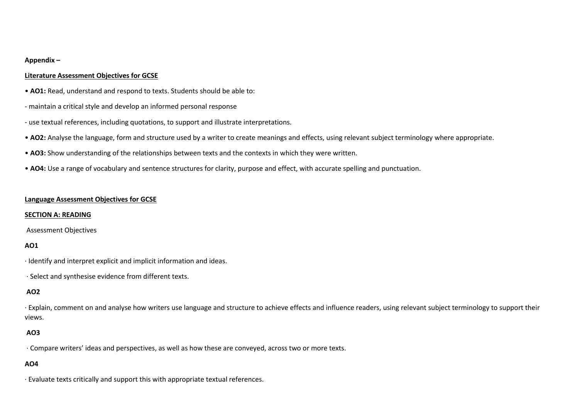#### **Appendix –**

## **Literature Assessment Objectives for GCSE**

- **AO1:** Read, understand and respond to texts. Students should be able to:
- maintain a critical style and develop an informed personal response
- use textual references, including quotations, to support and illustrate interpretations.
- **AO2:** Analyse the language, form and structure used by a writer to create meanings and effects, using relevant subject terminology where appropriate.
- **AO3:** Show understanding of the relationships between texts and the contexts in which they were written.
- **AO4:** Use a range of vocabulary and sentence structures for clarity, purpose and effect, with accurate spelling and punctuation.

#### **Language Assessment Objectives for GCSE**

#### **SECTION A: READING**

Assessment Objectives

### **AO1**

∙ Identify and interpret explicit and implicit information and ideas.

∙ Select and synthesise evidence from different texts.

# **AO2**

∙ Explain, comment on and analyse how writers use language and structure to achieve effects and influence readers, using relevant subject terminology to support their views.

### **AO3**

∙ Compare writers' ideas and perspectives, as well as how these are conveyed, across two or more texts.

### **AO4**

∙ Evaluate texts critically and support this with appropriate textual references.